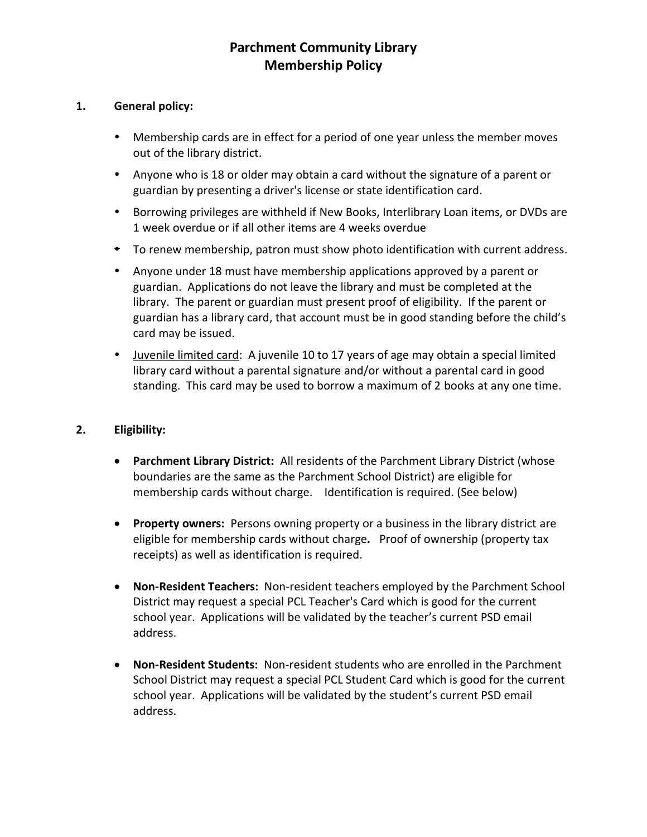## **Parchment Community Library Membership Policy**

## **1. General policy:**

- Membership cards are in effect for a period of one year unless the member moves out of the library district.
- Anyone who is 18 or older may obtain a card without the signature of a parent or guardian by presenting a driver's license or state identification card.
- Borrowing privileges are withheld if New Books, Interlibrary Loan items, or DVDs are 1 week overdue or if all other items are 4 weeks overdue
- To renew membership, patron must show photo identification with current address.
- Anyone under 18 must have membership applications approved by a parent or guardian. Applications do not leave the library and must be completed at the library. The parent or guardian must present proof of eligibility. If the parent or guardian has a library card, that account must be in good standing before the child's card may be issued.
- Juvenile limited card: A juvenile 10 to 17 years of age may obtain a special limited library card without a parental signature and/or without a parental card in good standing. This card may be used to borrow a maximum of 2 books at any one time.

## **2. Eligibility:**

- **Parchment Library District:** All residents of the Parchment Library District (whose boundaries are the same as the Parchment School District) are eligible for membership cards without charge. Identification is required. (See below)
- **Property owners:** Persons owning property or a business in the library district are eligible for membership cards without charge*.* Proof of ownership (property tax receipts) as well as identification is required.
- **Non-Resident Teachers:** Non-resident teachers employed by the Parchment School District may request a special PCL Teacher's Card which is good for the current school year. Applications will be validated by the teacher's current PSD email address.
- **Non-Resident Students:** Non-resident students who are enrolled in the Parchment School District may request a special PCL Student Card which is good for the current school year. Applications will be validated by the student's current PSD email address.